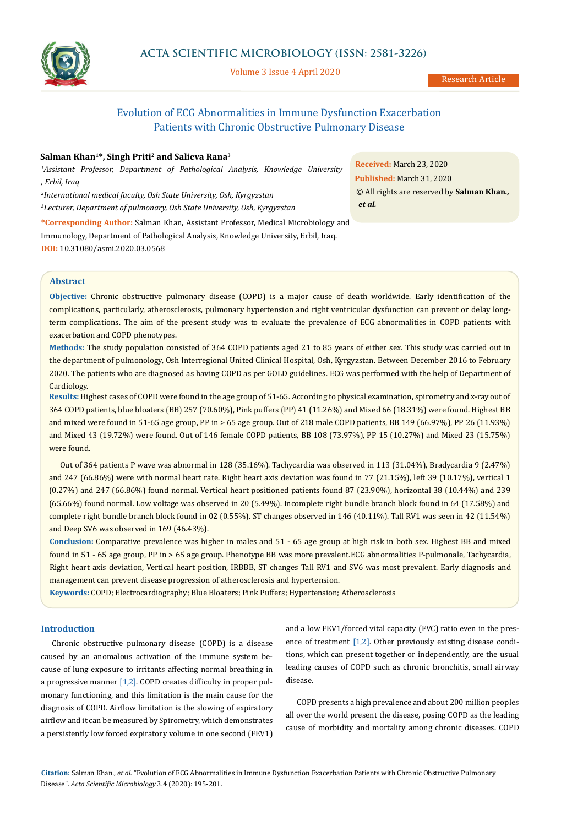

# **ACTA SCIENTIFIC MICROBIOLOGY (ISSN: 2581-3226)**

Volume 3 Issue 4 April 2020

Research Article

# Evolution of ECG Abnormalities in Immune Dysfunction Exacerbation Patients with Chronic Obstructive Pulmonary Disease

## **Salman Khan1\*, Singh Priti2 and Salieva Rana3**

*1 Assistant Professor, Department of Pathological Analysis, Knowledge University , Erbil, Iraq*

*2 International medical faculty, Osh State University, Osh, Kyrgyzstan*

*3 Lecturer, Department of pulmonary, Osh State University, Osh, Kyrgyzstan* 

**\*Corresponding Author:** Salman Khan, Assistant Professor, Medical Microbiology and Immunology, Department of Pathological Analysis, Knowledge University, Erbil, Iraq. **DOI:** [10.31080/asmi.2020.03.05](https://actascientific.com/ASMI/pdf/ASMI-03-0568.pdf)68

**Received:** March 23, 2020 **Published:** March 31, 2020 © All rights are reserved by **Salman Khan***., et al.*

### **Abstract**

**Objective:** Chronic obstructive pulmonary disease (COPD) is a major cause of death worldwide. Early identification of the complications, particularly, atherosclerosis, pulmonary hypertension and right ventricular dysfunction can prevent or delay longterm complications. The aim of the present study was to evaluate the prevalence of ECG abnormalities in COPD patients with exacerbation and COPD phenotypes.

**Methods:** The study population consisted of 364 COPD patients aged 21 to 85 years of either sex. This study was carried out in the department of pulmonology, Osh Interregional United Clinical Hospital, Osh, Kyrgyzstan. Between December 2016 to February 2020. The patients who are diagnosed as having COPD as per GOLD guidelines. ECG was performed with the help of Department of Cardiology.

**Results:** Highest cases of COPD were found in the age group of 51-65. According to physical examination, spirometry and x-ray out of 364 COPD patients, blue bloaters (BB) 257 (70.60%), Pink puffers (PP) 41 (11.26%) and Mixed 66 (18.31%) were found. Highest BB and mixed were found in 51-65 age group, PP in > 65 age group. Out of 218 male COPD patients, BB 149 (66.97%), PP 26 (11.93%) and Mixed 43 (19.72%) were found. Out of 146 female COPD patients, BB 108 (73.97%), PP 15 (10.27%) and Mixed 23 (15.75%) were found.

Out of 364 patients P wave was abnormal in 128 (35.16%). Tachycardia was observed in 113 (31.04%), Bradycardia 9 (2.47%) and 247 (66.86%) were with normal heart rate. Right heart axis deviation was found in 77 (21.15%), left 39 (10.17%), vertical 1 (0.27%) and 247 (66.86%) found normal. Vertical heart positioned patients found 87 (23.90%), horizontal 38 (10.44%) and 239 (65.66%) found normal. Low voltage was observed in 20 (5.49%). Incomplete right bundle branch block found in 64 (17.58%) and complete right bundle branch block found in 02 (0.55%). ST changes observed in 146 (40.11%). Tall RV1 was seen in 42 (11.54%) and Deep SV6 was observed in 169 (46.43%).

**Conclusion:** Comparative prevalence was higher in males and 51 - 65 age group at high risk in both sex. Highest BB and mixed found in 51 - 65 age group, PP in > 65 age group. Phenotype BB was more prevalent.ECG abnormalities P-pulmonale, Tachycardia, Right heart axis deviation, Vertical heart position, IRBBB, ST changes Tall RV1 and SV6 was most prevalent. Early diagnosis and management can prevent disease progression of atherosclerosis and hypertension.

**Keywords:** COPD; Electrocardiography; Blue Bloaters; Pink Puffers; Hypertension; Atherosclerosis

# **Introduction**

Chronic obstructive pulmonary disease (COPD) is a disease caused by an anomalous activation of the immune system because of lung exposure to irritants affecting normal breathing in a progressive manner [1,2]. COPD creates difficulty in proper pulmonary functioning, and this limitation is the main cause for the diagnosis of COPD. Airflow limitation is the slowing of expiratory airflow and it can be measured by Spirometry, which demonstrates a persistently low forced expiratory volume in one second (FEV1) and a low FEV1/forced vital capacity (FVC) ratio even in the presence of treatment [1,2]. Other previously existing disease conditions, which can present together or independently, are the usual leading causes of COPD such as chronic bronchitis, small airway disease.

COPD presents a high prevalence and about 200 million peoples all over the world present the disease, posing COPD as the leading cause of morbidity and mortality among chronic diseases. COPD

**Citation:** Salman Khan*., et al.* "Evolution of ECG Abnormalities in Immune Dysfunction Exacerbation Patients with Chronic Obstructive Pulmonary Disease". *Acta Scientific Microbiology* 3.4 (2020): 195-201.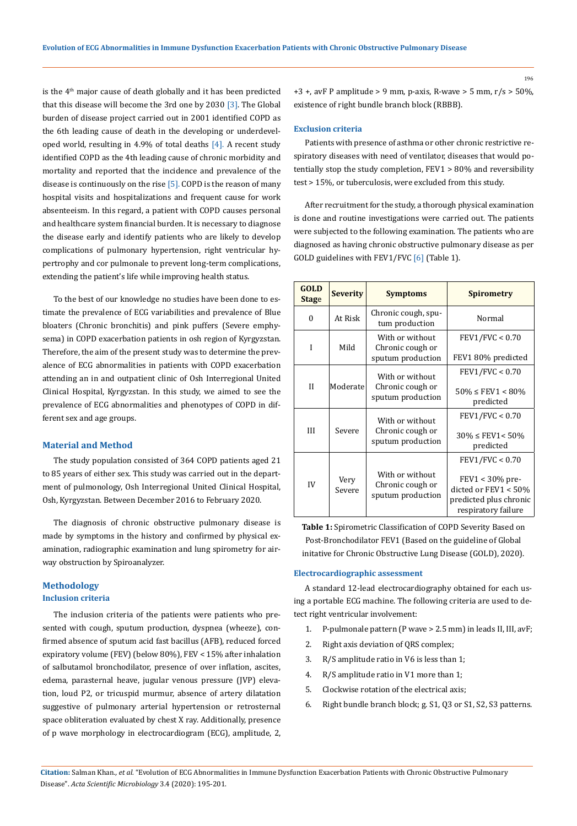is the  $4<sup>th</sup>$  major cause of death globally and it has been predicted that this disease will become the 3rd one by 2030 [3]. The Global burden of disease project carried out in 2001 identified COPD as the 6th leading cause of death in the developing or underdeveloped world, resulting in 4.9% of total deaths [4]. A recent study identified COPD as the 4th leading cause of chronic morbidity and mortality and reported that the incidence and prevalence of the disease is continuously on the rise  $[5]$ . COPD is the reason of many hospital visits and hospitalizations and frequent cause for work absenteeism. In this regard, a patient with COPD causes personal and healthcare system financial burden. It is necessary to diagnose the disease early and identify patients who are likely to develop complications of pulmonary hypertension, right ventricular hypertrophy and cor pulmonale to prevent long-term complications, extending the patient's life while improving health status.

To the best of our knowledge no studies have been done to estimate the prevalence of ECG variabilities and prevalence of Blue bloaters (Chronic bronchitis) and pink puffers (Severe emphysema) in COPD exacerbation patients in osh region of Kyrgyzstan. Therefore, the aim of the present study was to determine the prevalence of ECG abnormalities in patients with COPD exacerbation attending an in and outpatient clinic of Osh Interregional United Clinical Hospital, Kyrgyzstan. In this study, we aimed to see the prevalence of ECG abnormalities and phenotypes of COPD in different sex and age groups.

#### **Material and Method**

The study population consisted of 364 COPD patients aged 21 to 85 years of either sex. This study was carried out in the department of pulmonology, Osh Interregional United Clinical Hospital, Osh, Kyrgyzstan. Between December 2016 to February 2020.

The diagnosis of chronic obstructive pulmonary disease is made by symptoms in the history and confirmed by physical examination, radiographic examination and lung spirometry for airway obstruction by Spiroanalyzer.

## **Methodology Inclusion criteria**

The inclusion criteria of the patients were patients who presented with cough, sputum production, dyspnea (wheeze), confirmed absence of sputum acid fast bacillus (AFB), reduced forced expiratory volume (FEV) (below 80%), FEV < 15% after inhalation of salbutamol bronchodilator, presence of over inflation, ascites, edema, parasternal heave, jugular venous pressure (JVP) elevation, loud P2, or tricuspid murmur, absence of artery dilatation suggestive of pulmonary arterial hypertension or retrosternal space obliteration evaluated by chest X ray. Additionally, presence of p wave morphology in electrocardiogram (ECG), amplitude, 2, +3 +, avF P amplitude > 9 mm, p-axis, R-wave > 5 mm,  $r/s$  > 50%, existence of right bundle branch block (RBBB).

#### **Exclusion criteria**

Patients with presence of asthma or other chronic restrictive respiratory diseases with need of ventilator, diseases that would potentially stop the study completion, FEV1 > 80% and reversibility test > 15%, or tuberculosis, were excluded from this study.

After recruitment for the study, a thorough physical examination is done and routine investigations were carried out. The patients were subjected to the following examination. The patients who are diagnosed as having chronic obstructive pulmonary disease as per GOLD guidelines with FEV1/FVC [6] (Table 1).

| <b>GOLD</b><br><b>Stage</b> | <b>Severity</b> | <b>Symptoms</b>                                          | <b>Spirometry</b>                                                                                              |
|-----------------------------|-----------------|----------------------------------------------------------|----------------------------------------------------------------------------------------------------------------|
| $\theta$                    | At Risk         | Chronic cough, spu-<br>tum production                    | Normal                                                                                                         |
| I                           | Mild            | With or without<br>Chronic cough or<br>sputum production | FEV1/FVC < 0.70<br>FEV1 80% predicted                                                                          |
| H                           | Moderate        | With or without<br>Chronic cough or<br>sputum production | FEV1/FVC < 0.70<br>$50\% \leq FEV1 \leq 80\%$<br>predicted                                                     |
| III                         | Severe          | With or without<br>Chronic cough or<br>sputum production | FEV1/FVC < 0.70<br>$30\% \leq FEV1 \leq 50\%$<br>predicted                                                     |
| IV                          | Very<br>Severe  | With or without<br>Chronic cough or<br>sputum production | FEV1/FVC < 0.70<br>$FEV1 < 30\%$ pre-<br>dicted or FEV1 < 50%<br>predicted plus chronic<br>respiratory failure |

**Table 1:** Spirometric Classification of COPD Severity Based on Post-Bronchodilator FEV1 (Based on the guideline of Global initative for Chronic Obstructive Lung Disease (GOLD), 2020).

#### **Electrocardiographic assessment**

A standard 12-lead electrocardiography obtained for each using a portable ECG machine. The following criteria are used to detect right ventricular involvement:

- 1. P-pulmonale pattern (P wave > 2.5 mm) in leads II, III, avF;
- 2. Right axis deviation of QRS complex;
- 3. R/S amplitude ratio in V6 is less than 1;
- 4. R/S amplitude ratio in V1 more than 1;
- 5. Clockwise rotation of the electrical axis;
- 6. Right bundle branch block; g. S1, Q3 or S1, S2, S3 patterns.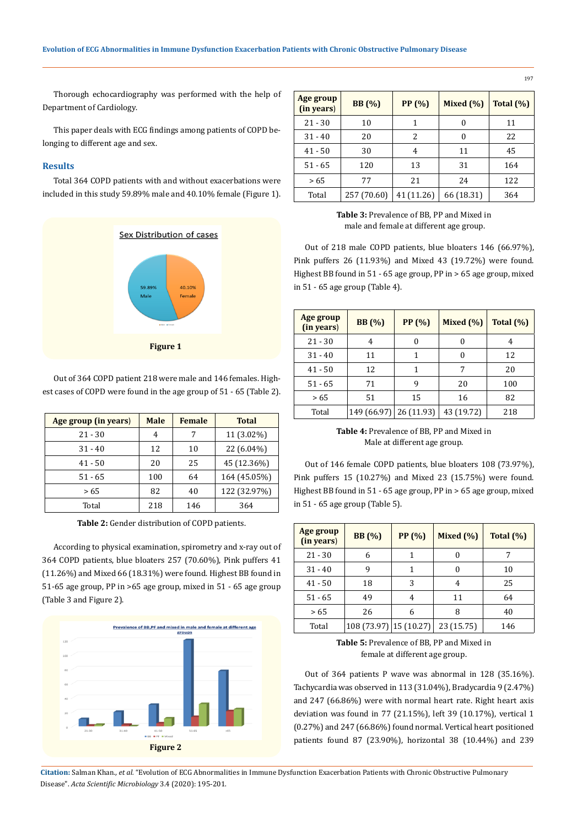Thorough echocardiography was performed with the help of Department of Cardiology.

This paper deals with ECG findings among patients of COPD belonging to different age and sex.

# **Results**

Total 364 COPD patients with and without exacerbations were included in this study 59.89% male and 40.10% female (Figure 1).



Out of 364 COPD patient 218 were male and 146 females. Highest cases of COPD were found in the age group of 51 - 65 (Table 2).

| Age group (in years) | <b>Male</b> | Female | <b>Total</b> |
|----------------------|-------------|--------|--------------|
| $21 - 30$            | 4           | 7      | 11 (3.02%)   |
| $31 - 40$            | 12          | 10     | $22(6.04\%)$ |
| $41 - 50$            | 20          | 25     | 45 (12.36%)  |
| $51 - 65$            | 100         | 64     | 164 (45.05%) |
| > 65                 | 82          | 40     | 122 (32.97%) |
| Total                | 218         | 146    | 364          |

**Table 2:** Gender distribution of COPD patients.

According to physical examination, spirometry and x-ray out of 364 COPD patients, blue bloaters 257 (70.60%), Pink puffers 41 (11.26%) and Mixed 66 (18.31%) were found. Highest BB found in 51-65 age group, PP in >65 age group, mixed in 51 - 65 age group (Table 3 and Figure 2).



| Age group<br>(in years) | <b>BB</b> (%) | <b>PP</b> (%) | Mixed $(\% )$ | Total (%) |
|-------------------------|---------------|---------------|---------------|-----------|
| $21 - 30$               | 10            |               | 0             | 11        |
| $31 - 40$               | 20            | 2             | 0             | 22        |
| $41 - 50$               | 30            | 4             | 11            | 45        |
| $51 - 65$               | 120           | 13            | 31            | 164       |
| >65                     | 77            | 21            | 24            | 122       |
| Total                   | 257 (70.60)   | 41 (11.26)    | 66 (18.31)    | 364       |

**Table 3:** Prevalence of BB, PP and Mixed in male and female at different age group.

Out of 218 male COPD patients, blue bloaters 146 (66.97%), Pink puffers 26 (11.93%) and Mixed 43 (19.72%) were found. Highest BB found in 51 - 65 age group, PP in > 65 age group, mixed in 51 - 65 age group (Table 4).

| Age group<br>(in years) | BB(%)       | PP(%)      | Mixed $(\% )$ | Total $(\%)$ |
|-------------------------|-------------|------------|---------------|--------------|
| $21 - 30$               | 4           | 0          | 0             | 4            |
| $31 - 40$               | 11          |            | 0             | 12           |
| $41 - 50$               | 12          | 1          | 7             | 20           |
| $51 - 65$               | 71          | 9          | 20            | 100          |
| >65                     | 51          | 15         | 16            | 82           |
| Total                   | 149 (66.97) | 26 (11.93) | 43 (19.72)    | 218          |

**Table 4:** Prevalence of BB, PP and Mixed in Male at different age group.

Out of 146 female COPD patients, blue bloaters 108 (73.97%), Pink puffers 15 (10.27%) and Mixed 23 (15.75%) were found. Highest BB found in 51 - 65 age group, PP in > 65 age group, mixed in 51 - 65 age group (Table 5).

| Age group<br>(in years) | <b>BB</b> (%)          | PP (%) | Mixed (%)  | Total $(\%)$ |
|-------------------------|------------------------|--------|------------|--------------|
| $21 - 30$               | 6                      | 1      | 0          |              |
| $31 - 40$               | 9                      | 1      | 0          | 10           |
| $41 - 50$               | 18                     | 3      | 4          | 25           |
| $51 - 65$               | 49                     | 4      | 11         | 64           |
| >65                     | 26                     | 6      | 8          | 40           |
| Total                   | 108 (73.97) 15 (10.27) |        | 23 (15.75) | 146          |

**Table 5:** Prevalence of BB, PP and Mixed in female at different age group.

Out of 364 patients P wave was abnormal in 128 (35.16%). Tachycardia was observed in 113 (31.04%), Bradycardia 9 (2.47%) and 247 (66.86%) were with normal heart rate. Right heart axis deviation was found in 77 (21.15%), left 39 (10.17%), vertical 1 (0.27%) and 247 (66.86%) found normal. Vertical heart positioned patients found 87 (23.90%), horizontal 38 (10.44%) and 239

**Citation:** Salman Khan*., et al.* "Evolution of ECG Abnormalities in Immune Dysfunction Exacerbation Patients with Chronic Obstructive Pulmonary Disease". *Acta Scientific Microbiology* 3.4 (2020): 195-201.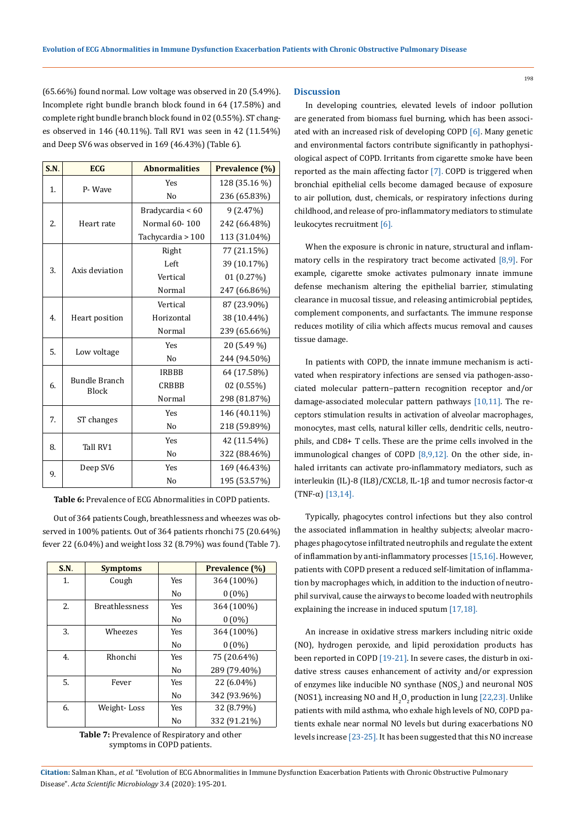(65.66%) found normal. Low voltage was observed in 20 (5.49%). **Discussion** Incomplete right bundle branch block found in 64 (17.58%) and complete right bundle branch block found in 02 (0.55%). ST changes observed in 146 (40.11%). Tall RV1 was seen in 42 (11.54%) and Deep SV6 was observed in 169 (46.43%) (Table 6).

| S.N.             | <b>ECG</b>                           | <b>Abnormalities</b> | Prevalence (%) |
|------------------|--------------------------------------|----------------------|----------------|
| 1.               | P-Wave                               | <b>Yes</b>           | 128 (35.16 %)  |
|                  |                                      | N <sub>o</sub>       | 236 (65.83%)   |
|                  |                                      | Bradycardia < 60     | 9(2.47%)       |
| 2.               | Heart rate                           | Normal 60-100        | 242 (66.48%)   |
|                  |                                      | Tachycardia > 100    | 113 (31.04%)   |
|                  |                                      | Right                | 77 (21.15%)    |
|                  | Axis deviation                       | Left                 | 39 (10.17%)    |
| 3.               |                                      | Vertical             | 01 (0.27%)     |
|                  |                                      | Normal               | 247 (66.86%)   |
|                  |                                      | Vertical             | 87 (23.90%)    |
| $\overline{4}$ . | Heart position                       | Horizontal           | 38 (10.44%)    |
|                  |                                      | Normal               | 239 (65.66%)   |
| 5.               |                                      | <b>Yes</b>           | 20 (5.49 %)    |
|                  | Low voltage                          | N <sub>0</sub>       | 244 (94.50%)   |
|                  | <b>Bundle Branch</b><br><b>Block</b> | <b>IRBBB</b>         | 64 (17.58%)    |
| 6.               |                                      | <b>CRBBB</b>         | 02 (0.55%)     |
|                  |                                      | Normal               | 298 (81.87%)   |
|                  | ST changes                           | <b>Yes</b>           | 146 (40.11%)   |
| 7.               |                                      | N <sub>o</sub>       | 218 (59.89%)   |
|                  |                                      | <b>Yes</b>           | 42 (11.54%)    |
| 8.               | Tall RV1                             | N <sub>o</sub>       | 322 (88.46%)   |
|                  | Deep SV6                             | <b>Yes</b>           | 169 (46.43%)   |
| 9.               |                                      | N <sub>o</sub>       | 195 (53.57%)   |

**Table 6:** Prevalence of ECG Abnormalities in COPD patients.

Out of 364 patients Cough, breathlessness and wheezes was observed in 100% patients. Out of 364 patients rhonchi 75 (20.64%) fever 22 (6.04%) and weight loss 32 (8.79%) was found (Table 7).

| S.N. | <b>Symptoms</b>       |            | Prevalence (%) |
|------|-----------------------|------------|----------------|
| 1.   | Cough                 | Yes        | 364 (100%)     |
|      |                       | No         | $0(0\%)$       |
| 2.   | <b>Breathlessness</b> | Yes        | 364 (100%)     |
|      |                       | No         | $0(0\%)$       |
| 3.   | Wheezes               | <b>Yes</b> | 364 (100%)     |
|      |                       | No         | $0(0\%)$       |
| 4.   | Rhonchi               | Yes        | 75 (20.64%)    |
|      |                       | No         | 289 (79.40%)   |
| 5.   | Fever                 | Yes        | 22 (6.04%)     |
|      |                       | No         | 342 (93.96%)   |
| 6.   | Weight-Loss           | Yes        | 32 (8.79%)     |
|      |                       | No         | 332 (91.21%)   |

**Table 7:** Prevalence of Respiratory and other symptoms in COPD patients.

In developing countries, elevated levels of indoor pollution are generated from biomass fuel burning, which has been associated with an increased risk of developing COPD [6]. Many genetic and environmental factors contribute significantly in pathophysiological aspect of COPD. Irritants from cigarette smoke have been reported as the main affecting factor [7]. COPD is triggered when bronchial epithelial cells become damaged because of exposure to air pollution, dust, chemicals, or respiratory infections during childhood, and release of pro-inflammatory mediators to stimulate leukocytes recruitment [6].

When the exposure is chronic in nature, structural and inflammatory cells in the respiratory tract become activated  $[8,9]$ . For example, cigarette smoke activates pulmonary innate immune defense mechanism altering the epithelial barrier, stimulating clearance in mucosal tissue, and releasing antimicrobial peptides, complement components, and surfactants. The immune response reduces motility of cilia which affects mucus removal and causes tissue damage.

In patients with COPD, the innate immune mechanism is activated when respiratory infections are sensed via pathogen-associated molecular pattern–pattern recognition receptor and/or damage-associated molecular pattern pathways [10,11]. The receptors stimulation results in activation of alveolar macrophages, monocytes, mast cells, natural killer cells, dendritic cells, neutrophils, and CD8+ T cells. These are the prime cells involved in the immunological changes of COPD [8,9,12]. On the other side, inhaled irritants can activate pro-inflammatory mediators, such as interleukin (IL)-8 (IL8)/CXCL8, IL-1β and tumor necrosis factor-α (TNF-α) [13,14].

Typically, phagocytes control infections but they also control the associated inflammation in healthy subjects; alveolar macrophages phagocytose infiltrated neutrophils and regulate the extent of inflammation by anti-inflammatory processes [15,16]. However, patients with COPD present a reduced self-limitation of inflammation by macrophages which, in addition to the induction of neutrophil survival, cause the airways to become loaded with neutrophils explaining the increase in induced sputum [17,18].

An increase in oxidative stress markers including nitric oxide (NO), hydrogen peroxide, and lipid peroxidation products has been reported in COPD [19-21]. In severe cases, the disturb in oxidative stress causes enhancement of activity and/or expression of enzymes like inducible NO synthase  $\text{(NOS}_2\text{)}$  and neuronal NOS (NOS1), increasing NO and  $H_2O_2$  production in lung [22,23]. Unlike patients with mild asthma, who exhale high levels of NO, COPD patients exhale near normal NO levels but during exacerbations NO levels increase [23-25]. It has been suggested that this NO increase

**Citation:** Salman Khan*., et al.* "Evolution of ECG Abnormalities in Immune Dysfunction Exacerbation Patients with Chronic Obstructive Pulmonary Disease". *Acta Scientific Microbiology* 3.4 (2020): 195-201.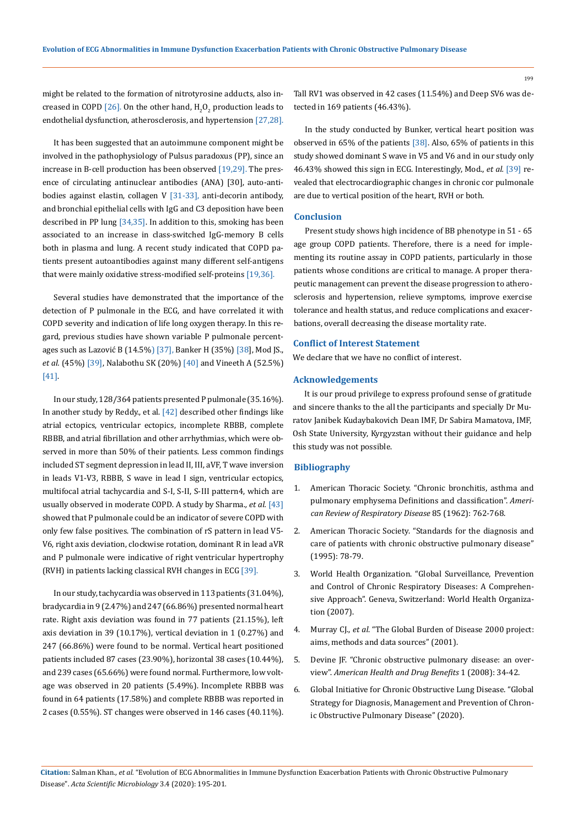might be related to the formation of nitrotyrosine adducts, also increased in COPD [26]. On the other hand,  $\text{H}_{2}\text{O}_{2}$  production leads to endothelial dysfunction, atherosclerosis, and hypertension [27,28].

It has been suggested that an autoimmune component might be involved in the pathophysiology of Pulsus paradoxus (PP), since an increase in B-cell production has been observed [19,29]. The presence of circulating antinuclear antibodies (ANA) [30], auto-antibodies against elastin, collagen V [31-33], anti-decorin antibody, and bronchial epithelial cells with IgG and C3 deposition have been described in PP lung [34,35]. In addition to this, smoking has been associated to an increase in class-switched IgG-memory B cells both in plasma and lung. A recent study indicated that COPD patients present autoantibodies against many different self-antigens that were mainly oxidative stress-modified self-proteins [19,36].

Several studies have demonstrated that the importance of the detection of P pulmonale in the ECG, and have correlated it with COPD severity and indication of life long oxygen therapy. In this regard, previous studies have shown variable P pulmonale percentages such as Lazović B (14.5%) [37], Banker H (35%) [38], Mod JS., *et al.* (45%) [39], Nalabothu SK (20%) [40] and Vineeth A (52.5%) [41].

In our study, 128/364 patients presented P pulmonale (35.16%). In another study by Reddy., et al. [42] described other findings like atrial ectopics, ventricular ectopics, incomplete RBBB, complete RBBB, and atrial fibrillation and other arrhythmias, which were observed in more than 50% of their patients. Less common findings included ST segment depression in lead II, III, aVF, T wave inversion in leads V1-V3, RBBB, S wave in lead I sign, ventricular ectopics, multifocal atrial tachycardia and S-I, S-II, S-III pattern4, which are usually observed in moderate COPD. A study by Sharma.*, et al.* [43] showed that P pulmonale could be an indicator of severe COPD with only few false positives. The combination of rS pattern in lead V5- V6, right axis deviation, clockwise rotation, dominant R in lead aVR and P pulmonale were indicative of right ventricular hypertrophy (RVH) in patients lacking classical RVH changes in ECG [39].

In our study, tachycardia was observed in 113 patients (31.04%), bradycardia in 9 (2.47%) and 247 (66.86%) presented normal heart rate. Right axis deviation was found in 77 patients (21.15%), left axis deviation in 39 (10.17%), vertical deviation in 1 (0.27%) and 247 (66.86%) were found to be normal. Vertical heart positioned patients included 87 cases (23.90%), horizontal 38 cases (10.44%), and 239 cases (65.66%) were found normal. Furthermore, low voltage was observed in 20 patients (5.49%). Incomplete RBBB was found in 64 patients (17.58%) and complete RBBB was reported in 2 cases (0.55%). ST changes were observed in 146 cases (40.11%).

Tall RV1 was observed in 42 cases (11.54%) and Deep SV6 was detected in 169 patients (46.43%).

In the study conducted by Bunker, vertical heart position was observed in 65% of the patients [38]. Also, 65% of patients in this study showed dominant S wave in V5 and V6 and in our study only 46.43% showed this sign in ECG. Interestingly, Mod., *et al.* [39] revealed that electrocardiographic changes in chronic cor pulmonale are due to vertical position of the heart, RVH or both.

#### **Conclusion**

Present study shows high incidence of BB phenotype in 51 - 65 age group COPD patients. Therefore, there is a need for implementing its routine assay in COPD patients, particularly in those patients whose conditions are critical to manage. A proper therapeutic management can prevent the disease progression to atherosclerosis and hypertension, relieve symptoms, improve exercise tolerance and health status, and reduce complications and exacerbations, overall decreasing the disease mortality rate.

### **Conflict of Interest Statement**

We declare that we have no conflict of interest.

### **Acknowledgements**

It is our proud privilege to express profound sense of gratitude and sincere thanks to the all the participants and specially Dr Muratov Janibek Kudaybakovich Dean IMF, Dr Sabira Mamatova, IMF, Osh State University, Kyrgyzstan without their guidance and help this study was not possible.

#### **Bibliography**

- 1. American Thoracic Society. "Chronic bronchitis, asthma and pulmonary emphysema Definitions and classification". *American Review of Respiratory Disease* 85 (1962): 762-768.
- 2. American Thoracic Society. "Standards for the diagnosis and care of patients with chronic obstructive pulmonary disease" (1995): 78-79.
- 3. [World Health Organization. "Global Surveillance, Prevention](https://www.who.int/gard/publications/GARD%20Book%202007.pdf)  [and Control of Chronic Respiratory Diseases: A Comprehen](https://www.who.int/gard/publications/GARD%20Book%202007.pdf)[sive Approach". Geneva, Switzerland: World Health Organiza](https://www.who.int/gard/publications/GARD%20Book%202007.pdf)[tion \(2007\).](https://www.who.int/gard/publications/GARD%20Book%202007.pdf)
- 4. Murray CJ., *et al*[. "The Global Burden of Disease 2000 project:](https://www.who.int/healthinfo/paper36.pdf)  [aims, methods and data sources" \(2001\).](https://www.who.int/healthinfo/paper36.pdf)
- 5. [Devine JF. "Chronic obstructive pulmonary disease: an over](https://www.ncbi.nlm.nih.gov/pmc/articles/PMC4106574/)view". *[American Health and Drug Benefits](https://www.ncbi.nlm.nih.gov/pmc/articles/PMC4106574/)* 1 (2008): 34-42.
- 6. [Global Initiative for Chronic Obstructive Lung Disease. "Global](https://goldcopd.org/wp-content/uploads/2017/11/GOLD-2018-v6.0-FINAL-revised-20-Nov_WMS.pdf)  [Strategy for Diagnosis, Management and Prevention of Chron](https://goldcopd.org/wp-content/uploads/2017/11/GOLD-2018-v6.0-FINAL-revised-20-Nov_WMS.pdf)[ic Obstructive Pulmonary Disease" \(2020\).](https://goldcopd.org/wp-content/uploads/2017/11/GOLD-2018-v6.0-FINAL-revised-20-Nov_WMS.pdf)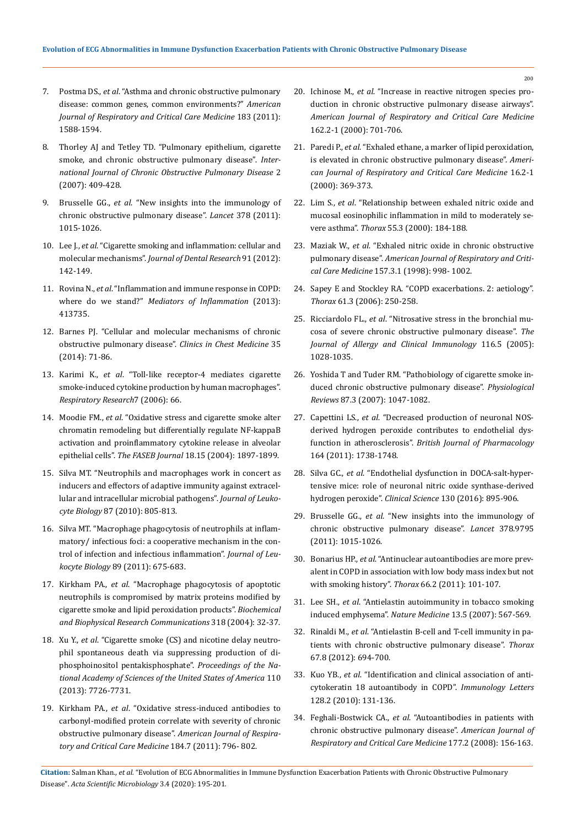- 7. Postma DS., *et al*[. "Asthma and chronic obstructive pulmonary](https://www.researchgate.net/publication/49813376_Asthma_and_Chronic_Obstructive_Pulmonary_Disease_Common_Genes_Common_Environments)  [disease: common genes, common environments?"](https://www.researchgate.net/publication/49813376_Asthma_and_Chronic_Obstructive_Pulmonary_Disease_Common_Genes_Common_Environments) *American [Journal of Respiratory and Critical Care Medicine](https://www.researchgate.net/publication/49813376_Asthma_and_Chronic_Obstructive_Pulmonary_Disease_Common_Genes_Common_Environments)* 183 (2011): [1588-1594.](https://www.researchgate.net/publication/49813376_Asthma_and_Chronic_Obstructive_Pulmonary_Disease_Common_Genes_Common_Environments)
- 8. [Thorley AJ and Tetley TD. "Pulmonary epithelium, cigarette](https://www.ncbi.nlm.nih.gov/pubmed/18268916)  [smoke, and chronic obstructive pulmonary disease".](https://www.ncbi.nlm.nih.gov/pubmed/18268916) *Inter[national Journal of Chronic Obstructive Pulmonary Disease](https://www.ncbi.nlm.nih.gov/pubmed/18268916)* 2 [\(2007\): 409-428.](https://www.ncbi.nlm.nih.gov/pubmed/18268916)
- 9. Brusselle GG., *et al*[. "New insights into the immunology of](https://www.ncbi.nlm.nih.gov/pubmed/21907865)  [chronic obstructive pulmonary disease".](https://www.ncbi.nlm.nih.gov/pubmed/21907865) *Lancet* 378 (2011): [1015-1026.](https://www.ncbi.nlm.nih.gov/pubmed/21907865)
- 10. Lee J., *et al*[. "Cigarette smoking and inflammation: cellular and](https://www.ncbi.nlm.nih.gov/pubmed/21876032)  molecular mechanisms". *[Journal of Dental Research](https://www.ncbi.nlm.nih.gov/pubmed/21876032)* 91 (2012): [142-149.](https://www.ncbi.nlm.nih.gov/pubmed/21876032)
- 11. Rovina N., *et al*[. "Inflammation and immune response in COPD:](https://www.ncbi.nlm.nih.gov/pubmed/23956502)  where do we stand?" *[Mediators of Inflammation](https://www.ncbi.nlm.nih.gov/pubmed/23956502)* (2013): [413735.](https://www.ncbi.nlm.nih.gov/pubmed/23956502)
- 12. [Barnes PJ. "Cellular and molecular mechanisms of chronic](https://www.ncbi.nlm.nih.gov/pubmed/24507838)  [obstructive pulmonary disease".](https://www.ncbi.nlm.nih.gov/pubmed/24507838) *Clinics in Chest Medicine* 35 [\(2014\): 71-86.](https://www.ncbi.nlm.nih.gov/pubmed/24507838)
- 13. Karimi K., *et al*[. "Toll-like receptor-4 mediates cigarette](https://www.ncbi.nlm.nih.gov/pubmed/16620395)  [smoke-induced cytokine production by human macrophages".](https://www.ncbi.nlm.nih.gov/pubmed/16620395)  *[Respiratory Research](https://www.ncbi.nlm.nih.gov/pubmed/16620395)*7 (2006): 66.
- 14. Moodie FM., *et al*[. "Oxidative stress and cigarette smoke alter](https://www.fasebj.org/doi/10.1096/fj.04-1506fje)  [chromatin remodeling but differentially regulate NF-kappaB](https://www.fasebj.org/doi/10.1096/fj.04-1506fje)  [activation and proinflammatory cytokine release in alveolar](https://www.fasebj.org/doi/10.1096/fj.04-1506fje)  epithelial cells". *The FASEB Journal* [18.15 \(2004\): 1897-1899.](https://www.fasebj.org/doi/10.1096/fj.04-1506fje)
- 15. [Silva MT. "Neutrophils and macrophages work in concert as](https://jlb.onlinelibrary.wiley.com/doi/full/10.1189/jlb.1109767)  [inducers and effectors of adaptive immunity against extracel](https://jlb.onlinelibrary.wiley.com/doi/full/10.1189/jlb.1109767)[lular and intracellular microbial pathogens".](https://jlb.onlinelibrary.wiley.com/doi/full/10.1189/jlb.1109767) *Journal of Leukocyte Biology* [87 \(2010\): 805-813.](https://jlb.onlinelibrary.wiley.com/doi/full/10.1189/jlb.1109767)
- 16. [Silva MT. "Macrophage phagocytosis of neutrophils at inflam](https://jlb.onlinelibrary.wiley.com/doi/pdf/10.1189/jlb.0910536)[matory/ infectious foci: a cooperative mechanism in the con](https://jlb.onlinelibrary.wiley.com/doi/pdf/10.1189/jlb.0910536)[trol of infection and infectious inflammation".](https://jlb.onlinelibrary.wiley.com/doi/pdf/10.1189/jlb.0910536) *Journal of Leukocyte Biology* [89 \(2011\): 675-683.](https://jlb.onlinelibrary.wiley.com/doi/pdf/10.1189/jlb.0910536)
- 17. Kirkham PA., *et al*[. "Macrophage phagocytosis of apoptotic](https://www.semanticscholar.org/paper/Macrophage-phagocytosis-of-apoptotic-neutrophils-is-Kirkham-Spooner/6f807a214c96ac24d57113dee27f2585a1e44791)  [neutrophils is compromised by matrix proteins modified by](https://www.semanticscholar.org/paper/Macrophage-phagocytosis-of-apoptotic-neutrophils-is-Kirkham-Spooner/6f807a214c96ac24d57113dee27f2585a1e44791)  [cigarette smoke and lipid peroxidation products".](https://www.semanticscholar.org/paper/Macrophage-phagocytosis-of-apoptotic-neutrophils-is-Kirkham-Spooner/6f807a214c96ac24d57113dee27f2585a1e44791) *Biochemical [and Biophysical Research Communications](https://www.semanticscholar.org/paper/Macrophage-phagocytosis-of-apoptotic-neutrophils-is-Kirkham-Spooner/6f807a214c96ac24d57113dee27f2585a1e44791)* 318 (2004): 32-37.
- 18. Xu Y., *et al*[. "Cigarette smoke \(CS\) and nicotine delay neutro](https://www.ncbi.nlm.nih.gov/pubmed/23610437)[phil spontaneous death via suppressing production of di](https://www.ncbi.nlm.nih.gov/pubmed/23610437)[phosphoinositol pentakisphosphate".](https://www.ncbi.nlm.nih.gov/pubmed/23610437) *Proceedings of the Na[tional Academy of Sciences of the United States of America](https://www.ncbi.nlm.nih.gov/pubmed/23610437)* 110 [\(2013\): 7726-7731.](https://www.ncbi.nlm.nih.gov/pubmed/23610437)
- 19. Kirkham PA., *et al*[. "Oxidative stress-induced antibodies to](https://www.ncbi.nlm.nih.gov/pubmed/21965015)  [carbonyl-modified protein correlate with severity of chronic](https://www.ncbi.nlm.nih.gov/pubmed/21965015)  obstructive pulmonary disease". *[American Journal of Respira](https://www.ncbi.nlm.nih.gov/pubmed/21965015)[tory and Critical Care Medicine](https://www.ncbi.nlm.nih.gov/pubmed/21965015)* 184.7 (2011): 796- 802.
- 20. Ichinose M., *et al*[. "Increase in reactive nitrogen species pro](https://www.atsjournals.org/doi/full/10.1164/ajrccm.162.2.9908132)[duction in chronic obstructive pulmonary disease airways".](https://www.atsjournals.org/doi/full/10.1164/ajrccm.162.2.9908132)  *[American Journal of Respiratory and Critical Care Medicine](https://www.atsjournals.org/doi/full/10.1164/ajrccm.162.2.9908132)*  [162.2-1 \(2000\): 701-706.](https://www.atsjournals.org/doi/full/10.1164/ajrccm.162.2.9908132)
- 21. Paredi P., *et al*[. "Exhaled ethane, a marker of lipid peroxidation,](https://www.researchgate.net/publication/12386732_Exhaled_Ethane_a_Marker_of_Lipid_Peroxidation_Is_Elevated_in_Chronic_Obstructive_Pulmonary_Disease)  [is elevated in chronic obstructive pulmonary disease".](https://www.researchgate.net/publication/12386732_Exhaled_Ethane_a_Marker_of_Lipid_Peroxidation_Is_Elevated_in_Chronic_Obstructive_Pulmonary_Disease) *Ameri[can Journal of Respiratory and Critical Care Medicine](https://www.researchgate.net/publication/12386732_Exhaled_Ethane_a_Marker_of_Lipid_Peroxidation_Is_Elevated_in_Chronic_Obstructive_Pulmonary_Disease)* 16.2-1 [\(2000\): 369-373.](https://www.researchgate.net/publication/12386732_Exhaled_Ethane_a_Marker_of_Lipid_Peroxidation_Is_Elevated_in_Chronic_Obstructive_Pulmonary_Disease)
- 22. Lim S., *et al*[. "Relationship between exhaled nitric oxide and](https://www.ncbi.nlm.nih.gov/pubmed/10679535)  [mucosal eosinophilic inflammation in mild to moderately se](https://www.ncbi.nlm.nih.gov/pubmed/10679535)vere asthma". *Thorax* [55.3 \(2000\): 184-188.](https://www.ncbi.nlm.nih.gov/pubmed/10679535)
- 23. Maziak W., *et al*[. "Exhaled nitric oxide in chronic obstructive](https://www.ncbi.nlm.nih.gov/pubmed/9517624)  pulmonary disease". *[American Journal of Respiratory and Criti](https://www.ncbi.nlm.nih.gov/pubmed/9517624)cal Care Medicine* [157.3.1 \(1998\): 998- 1002.](https://www.ncbi.nlm.nih.gov/pubmed/9517624)
- 24. [Sapey E and Stockley RA. "COPD exacerbations. 2: aetiology".](https://www.ncbi.nlm.nih.gov/pmc/articles/PMC2080749/)  *Thorax* [61.3 \(2006\): 250-258.](https://www.ncbi.nlm.nih.gov/pmc/articles/PMC2080749/)
- 25. Ricciardolo FL., *et al*[. "Nitrosative stress in the bronchial mu](https://www.ncbi.nlm.nih.gov/pubmed/16275371)[cosa of severe chronic obstructive pulmonary disease".](https://www.ncbi.nlm.nih.gov/pubmed/16275371) *The [Journal of Allergy and Clinical Immunology](https://www.ncbi.nlm.nih.gov/pubmed/16275371)* 116.5 (2005): [1028-1035.](https://www.ncbi.nlm.nih.gov/pubmed/16275371)
- 26. [Yoshida T and Tuder RM. "Pathobiology of cigarette smoke in](https://www.researchgate.net/publication/6223306_Pathobiology_of_Cigarette_Smoke-Induced_Chronic_Obstructive_Pulmonary_Disease)[duced chronic obstructive pulmonary disease".](https://www.researchgate.net/publication/6223306_Pathobiology_of_Cigarette_Smoke-Induced_Chronic_Obstructive_Pulmonary_Disease) *Physiological Reviews* [87.3 \(2007\): 1047-1082.](https://www.researchgate.net/publication/6223306_Pathobiology_of_Cigarette_Smoke-Induced_Chronic_Obstructive_Pulmonary_Disease)
- 27. Capettini LS., *et al*[. "Decreased production of neuronal NOS](https://www.ncbi.nlm.nih.gov/pubmed/21615722)[derived hydrogen peroxide contributes to endothelial dys](https://www.ncbi.nlm.nih.gov/pubmed/21615722)function in atherosclerosis". *[British Journal of Pharmacology](https://www.ncbi.nlm.nih.gov/pubmed/21615722)*  [164 \(2011\): 1738-1748.](https://www.ncbi.nlm.nih.gov/pubmed/21615722)
- 28. Silva GC., *et al*[. "Endothelial dysfunction in DOCA-salt-hyper](https://www.ncbi.nlm.nih.gov/pubmed/26976926)[tensive mice: role of neuronal nitric oxide synthase-derived](https://www.ncbi.nlm.nih.gov/pubmed/26976926)  hydrogen peroxide". *Clinical Science* [130 \(2016\): 895-906.](https://www.ncbi.nlm.nih.gov/pubmed/26976926)
- 29. Brusselle GG., *et al*[. "New insights into the immunology of](https://www.ncbi.nlm.nih.gov/pubmed/21907865)  [chronic obstructive pulmonary disease".](https://www.ncbi.nlm.nih.gov/pubmed/21907865) *Lancet* 378.9795 [\(2011\): 1015-1026.](https://www.ncbi.nlm.nih.gov/pubmed/21907865)
- 30. Bonarius HP., *et al*[. "Antinuclear autoantibodies are more prev](https://thorax.bmj.com/content/66/2/101)[alent in COPD in association with low body mass index but not](https://thorax.bmj.com/content/66/2/101)  [with smoking history".](https://thorax.bmj.com/content/66/2/101) *Thorax* 66.2 (2011): 101-107.
- 31. Lee SH., *et al*[. "Antielastin autoimmunity in tobacco smoking](https://www.nature.com/articles/nm1583)  [induced emphysema".](https://www.nature.com/articles/nm1583) *Nature Medicine* 13.5 (2007): 567-569.
- 32. Rinaldi M., *et al*[. "Antielastin B-cell and T-cell immunity in pa](https://www.ncbi.nlm.nih.gov/pubmed/22442201)[tients with chronic obstructive pulmonary disease".](https://www.ncbi.nlm.nih.gov/pubmed/22442201) *Thorax* [67.8 \(2012\): 694-700.](https://www.ncbi.nlm.nih.gov/pubmed/22442201)
- 33. Kuo YB., *et al*[. "Identification and clinical association of anti](https://www.ncbi.nlm.nih.gov/pubmed/20038439)[cytokeratin 18 autoantibody in COPD".](https://www.ncbi.nlm.nih.gov/pubmed/20038439) *Immunology Letters*  [128.2 \(2010\): 131-136.](https://www.ncbi.nlm.nih.gov/pubmed/20038439)
- 34. Feghali-Bostwick CA., *et al*[. "Autoantibodies in patients with](https://www.ncbi.nlm.nih.gov/pmc/articles/PMC2204079/)  [chronic obstructive pulmonary disease".](https://www.ncbi.nlm.nih.gov/pmc/articles/PMC2204079/) *American Journal of [Respiratory and Critical Care Medicine](https://www.ncbi.nlm.nih.gov/pmc/articles/PMC2204079/)* 177.2 (2008): 156-163.

**Citation:** Salman Khan*., et al.* "Evolution of ECG Abnormalities in Immune Dysfunction Exacerbation Patients with Chronic Obstructive Pulmonary Disease". *Acta Scientific Microbiology* 3.4 (2020): 195-201.